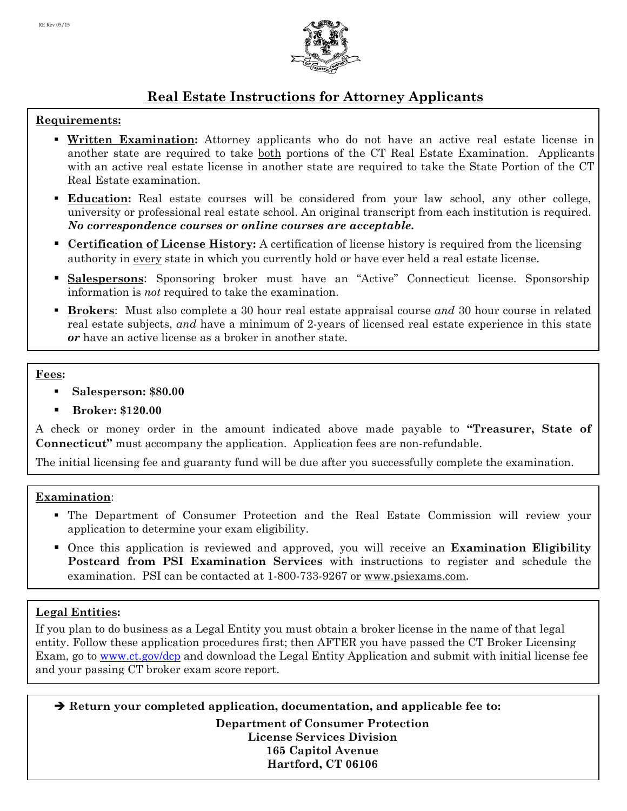

# **Real Estate Instructions for Attorney Applicants**

## **Requirements:**

- **Written Examination:** Attorney applicants who do not have an active real estate license in another state are required to take both portions of the CT Real Estate Examination. Applicants with an active real estate license in another state are required to take the State Portion of the CT Real Estate examination.
- **Education:** Real estate courses will be considered from your law school, any other college, university or professional real estate school. An original transcript from each institution is required. *No correspondence courses or online courses are acceptable.*
- **Certification of License History:** A certification of license history is required from the licensing authority in every state in which you currently hold or have ever held a real estate license.
- **Salespersons:** Sponsoring broker must have an "Active" Connecticut license. Sponsorship information is *not* required to take the examination.
- **Brokers**: Must also complete a 30 hour real estate appraisal course *and* 30 hour course in related real estate subjects, *and* have a minimum of 2-years of licensed real estate experience in this state *or* have an active license as a broker in another state.

#### **Fees:**

- **Salesperson: \$80.00**
- **Broker: \$120.00**

A check or money order in the amount indicated above made payable to **"Treasurer, State of Connecticut"** must accompany the application. Application fees are non-refundable.

The initial licensing fee and guaranty fund will be due after you successfully complete the examination.

## **Examination**:

- The Department of Consumer Protection and the Real Estate Commission will review your application to determine your exam eligibility.
- Once this application is reviewed and approved, you will receive an **Examination Eligibility Postcard from PSI Examination Services** with instructions to register and schedule the examination. PSI can be contacted at 1-800-733-9267 or www.psiexams.com.

## **Legal Entities:**

If you plan to do business as a Legal Entity you must obtain a broker license in the name of that legal entity. Follow these application procedures first; then AFTER you have passed the CT Broker Licensing Exam, go to www.ct.gov/dcp and download the Legal Entity Application and submit with initial license fee and your passing CT broker exam score report.

 **Return your completed application, documentation, and applicable fee to: Department of Consumer Protection License Services Division 165 Capitol Avenue Hartford, CT 06106**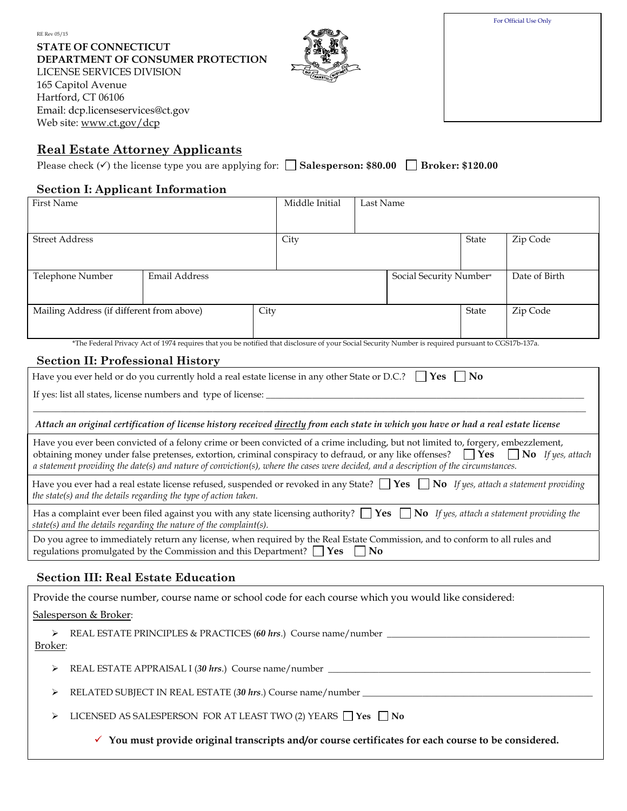| For Official Use Only |  |
|-----------------------|--|
|-----------------------|--|

**STATE OF CONNECTICUT DEPARTMENT OF CONSUMER PROTECTION** LICENSE SERVICES DIVISION 165 Capitol Avenue Hartford, CT 06106 Email: dcp.licenseservices@ct.gov Web site: www.ct.gov/dcp



## **Real Estate Attorney Applicants**

Please check  $(\checkmark)$  the license type you are applying for:  $\Box$  **Salesperson: \$80.00**  $\Box$  **Broker: \$120.00** 

#### **Section I: Applicant Information**

| <b>First Name</b>                                                                                                                                                                                                                                                                      |                                                                                                                                                    |      | Middle Initial | Last Name |                         |                        |               |
|----------------------------------------------------------------------------------------------------------------------------------------------------------------------------------------------------------------------------------------------------------------------------------------|----------------------------------------------------------------------------------------------------------------------------------------------------|------|----------------|-----------|-------------------------|------------------------|---------------|
|                                                                                                                                                                                                                                                                                        |                                                                                                                                                    |      |                |           |                         |                        |               |
| <b>Street Address</b>                                                                                                                                                                                                                                                                  |                                                                                                                                                    |      | City           |           |                         | State                  | Zip Code      |
|                                                                                                                                                                                                                                                                                        |                                                                                                                                                    |      |                |           |                         |                        |               |
| Telephone Number                                                                                                                                                                                                                                                                       | Email Address                                                                                                                                      |      |                |           | Social Security Number* |                        | Date of Birth |
|                                                                                                                                                                                                                                                                                        |                                                                                                                                                    |      |                |           |                         |                        |               |
| Mailing Address (if different from above)                                                                                                                                                                                                                                              |                                                                                                                                                    | City |                |           |                         | State                  | Zip Code      |
|                                                                                                                                                                                                                                                                                        |                                                                                                                                                    |      |                |           |                         |                        |               |
|                                                                                                                                                                                                                                                                                        | *The Federal Privacy Act of 1974 requires that you be notified that disclosure of your Social Security Number is required pursuant to CGS17b-137a. |      |                |           |                         |                        |               |
| <b>Section II: Professional History</b>                                                                                                                                                                                                                                                |                                                                                                                                                    |      |                |           |                         |                        |               |
|                                                                                                                                                                                                                                                                                        | Have you ever held or do you currently hold a real estate license in any other State or D.C.? $\vert$ Yes                                          |      |                |           |                         | $\overline{\text{No}}$ |               |
|                                                                                                                                                                                                                                                                                        |                                                                                                                                                    |      |                |           |                         |                        |               |
|                                                                                                                                                                                                                                                                                        |                                                                                                                                                    |      |                |           |                         |                        |               |
| Attach an original certification of license history received directly from each state in which you have or had a real estate license                                                                                                                                                   |                                                                                                                                                    |      |                |           |                         |                        |               |
| Have you ever been convicted of a felony crime or been convicted of a crime including, but not limited to, forgery, embezzlement,                                                                                                                                                      |                                                                                                                                                    |      |                |           |                         |                        |               |
| obtaining money under false pretenses, extortion, criminal conspiracy to defraud, or any like offenses?<br>$\Box$ Yes $\Box$ No If yes, attach<br>a statement providing the date(s) and nature of conviction(s), where the cases were decided, and a description of the circumstances. |                                                                                                                                                    |      |                |           |                         |                        |               |
| Have you ever had a real estate license refused, suspended or revoked in any State? $\Box$ Yes $\Box$ No If yes, attach a statement providing                                                                                                                                          |                                                                                                                                                    |      |                |           |                         |                        |               |
| the state(s) and the details regarding the type of action taken.                                                                                                                                                                                                                       |                                                                                                                                                    |      |                |           |                         |                        |               |
| Has a complaint ever been filed against you with any state licensing authority? $\Box$ Yes $\Box$ No If yes, attach a statement providing the<br>state(s) and the details regarding the nature of the complaint(s).                                                                    |                                                                                                                                                    |      |                |           |                         |                        |               |
| Do you agree to immediately return any license, when required by the Real Estate Commission, and to conform to all rules and                                                                                                                                                           |                                                                                                                                                    |      |                |           |                         |                        |               |
| regulations promulgated by the Commission and this Department? $\Box$ Yes<br>N <sub>0</sub>                                                                                                                                                                                            |                                                                                                                                                    |      |                |           |                         |                        |               |

## **Section III: Real Estate Education**

|              | Provide the course number, course name or school code for each course which you would like considered:          |
|--------------|-----------------------------------------------------------------------------------------------------------------|
|              | Salesperson & Broker:                                                                                           |
| ➤<br>Broker: |                                                                                                                 |
| ➤            | REAL ESTATE APPRAISAL I (30 hrs.) Course name/number ____________________________                               |
| ➤            | RELATED SUBJECT IN REAL ESTATE (30 <i>hrs.</i> ) Course name/number                                             |
| ➤            | LICENSED AS SALESPERSON FOR AT LEAST TWO (2) YEARS $\Box$ Yes $\Box$ No                                         |
|              | $\checkmark$ You must provide original transcripts and/or course certificates for each course to be considered. |